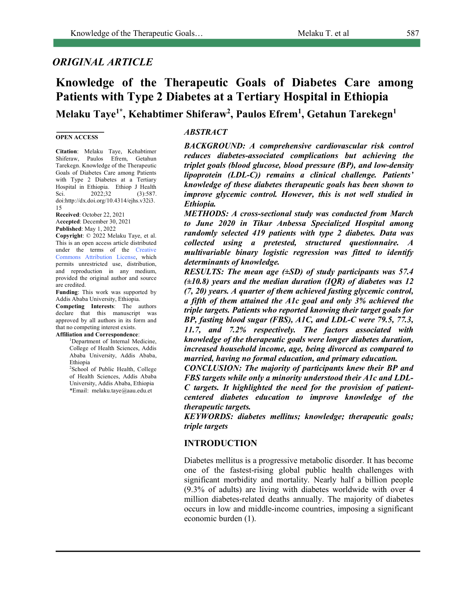# *ORIGINAL ARTICLE*

# **Knowledge of the Therapeutic Goals of Diabetes Care among Patients with Type 2 Diabetes at a Tertiary Hospital in Ethiopia Melaku Taye1\*, Kehabtimer Shiferaw2 , Paulos Efrem1 , Getahun Tarekegn1**

#### **OPEN ACCESS**

**Citation**: Melaku Taye, Kehabtimer Shiferaw, Paulos Efrem, Getahun Tarekegn. Knowledge of the Therapeutic Goals of Diabetes Care among Patients with Type 2 Diabetes at a Tertiary Hospital in Ethiopia. Ethiop J Health Sci. 2022;32 (3):587. doi:http://dx.doi.org/10.4314/ejhs.v32i3. 15

**Received**: October 22, 2021 A**ccepted**: December 30, 2021 **Published**: May 1, 2022

**Copyright**: © 2022 Melaku Taye, et al. This is an open access article distributed under the terms of the Creative Commons Attribution License, which permits unrestricted use, distribution, and reproduction in any medium, provided the original author and source are credited.

**Funding**: This work was supported by Addis Ababa University, Ethiopia. **Competing Interests**: The authors declare that this manuscript was approved by all authors in its form and that no competing interest exists.

#### **Affiliation and Correspondence**:

<sup>1</sup>Department of Internal Medicine, College of Health Sciences, Addis Ababa University, Addis Ababa, Ethiopia

2 School of Public Health, College of Health Sciences, Addis Ababa University, Addis Ababa, Ethiopia \*Email: melaku.taye@aau.edu.et

## *ABSTRACT*

*BACKGROUND: A comprehensive cardiovascular risk control reduces diabetes-associated complications but achieving the triplet goals (blood glucose, blood pressure (BP), and low-density lipoprotein (LDL-C)) remains a clinical challenge. Patients' knowledge of these diabetes therapeutic goals has been shown to improve glycemic control. However, this is not well studied in Ethiopia.*

*METHODS: A cross-sectional study was conducted from March to June 2020 in Tikur Anbessa Specialized Hospital among randomly selected 419 patients with type 2 diabetes. Data was collected using a pretested, structured questionnaire. A multivariable binary logistic regression was fitted to identify determinants of knowledge.*

*RESULTS: The mean age (±SD) of study participants was 57.4 (±10.8) years and the median duration (IQR) of diabetes was 12 (7, 20) years. A quarter of them achieved fasting glycemic control, a fifth of them attained the A1c goal and only 3% achieved the triple targets. Patients who reported knowing their target goals for BP, fasting blood sugar (FBS), A1C, and LDL-C were 79.5, 77.3, 11.7, and 7.2% respectively. The factors associated with knowledge of the therapeutic goals were longer diabetes duration, increased household income, age, being divorced as compared to married, having no formal education, and primary education.* 

*CONCLUSION: The majority of participants knew their BP and FBS targets while only a minority understood their A1c and LDL-C targets. It highlighted the need for the provision of patientcentered diabetes education to improve knowledge of the therapeutic targets.*

*KEYWORDS: diabetes mellitus; knowledge; therapeutic goals; triple targets*

### **INTRODUCTION**

Diabetes mellitus is a progressive metabolic disorder. It has become one of the fastest-rising global public health challenges with significant morbidity and mortality. Nearly half a billion people (9.3% of adults) are living with diabetes worldwide with over 4 million diabetes-related deaths annually. The majority of diabetes occurs in low and middle-income countries, imposing a significant economic burden (1).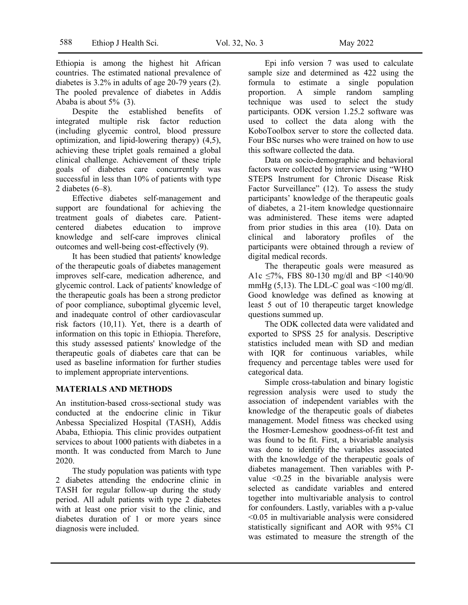Ethiopia is among the highest hit African countries. The estimated national prevalence of diabetes is 3.2% in adults of age 20-79 years (2). The pooled prevalence of diabetes in Addis Ababa is about 5% (3).

Despite the established benefits of integrated multiple risk factor reduction (including glycemic control, blood pressure optimization, and lipid-lowering therapy) (4,5), achieving these triplet goals remained a global clinical challenge. Achievement of these triple goals of diabetes care concurrently was successful in less than 10% of patients with type 2 diabetes (6–8).

Effective diabetes self-management and support are foundational for achieving the treatment goals of diabetes care. Patientcentered diabetes education to improve knowledge and self-care improves clinical outcomes and well-being cost-effectively (9).

It has been studied that patients' knowledge of the therapeutic goals of diabetes management improves self-care, medication adherence, and glycemic control. Lack of patients' knowledge of the therapeutic goals has been a strong predictor of poor compliance, suboptimal glycemic level, and inadequate control of other cardiovascular risk factors (10,11). Yet, there is a dearth of information on this topic in Ethiopia. Therefore, this study assessed patients' knowledge of the therapeutic goals of diabetes care that can be used as baseline information for further studies to implement appropriate interventions.

### **MATERIALS AND METHODS**

An institution-based cross-sectional study was conducted at the endocrine clinic in Tikur Anbessa Specialized Hospital (TASH), Addis Ababa, Ethiopia. This clinic provides outpatient services to about 1000 patients with diabetes in a month. It was conducted from March to June 2020.

The study population was patients with type 2 diabetes attending the endocrine clinic in TASH for regular follow-up during the study period. All adult patients with type 2 diabetes with at least one prior visit to the clinic, and diabetes duration of 1 or more years since diagnosis were included.

Epi info version 7 was used to calculate sample size and determined as 422 using the formula to estimate a single population proportion. A simple random sampling technique was used to select the study participants. ODK version 1.25.2 software was used to collect the data along with the KoboToolbox server to store the collected data. Four BSc nurses who were trained on how to use this software collected the data.

Data on socio-demographic and behavioral factors were collected by interview using "WHO STEPS Instrument for Chronic Disease Risk Factor Surveillance" (12). To assess the study participants' knowledge of the therapeutic goals of diabetes, a 21-item knowledge questionnaire was administered. These items were adapted from prior studies in this area (10). Data on clinical and laboratory profiles of the participants were obtained through a review of digital medical records.

The therapeutic goals were measured as A1c  $\leq$ 7%, FBS 80-130 mg/dl and BP  $\leq$ 140/90 mmHg  $(5,13)$ . The LDL-C goal was  $\leq 100$  mg/dl. Good knowledge was defined as knowing at least 5 out of 10 therapeutic target knowledge questions summed up.

The ODK collected data were validated and exported to SPSS 25 for analysis. Descriptive statistics included mean with SD and median with IQR for continuous variables, while frequency and percentage tables were used for categorical data.

Simple cross-tabulation and binary logistic regression analysis were used to study the association of independent variables with the knowledge of the therapeutic goals of diabetes management. Model fitness was checked using the Hosmer-Lemeshow goodness-of-fit test and was found to be fit. First, a bivariable analysis was done to identify the variables associated with the knowledge of the therapeutic goals of diabetes management. Then variables with Pvalue <0.25 in the bivariable analysis were selected as candidate variables and entered together into multivariable analysis to control for confounders. Lastly, variables with a p-value <0.05 in multivariable analysis were considered statistically significant and AOR with 95% CI was estimated to measure the strength of the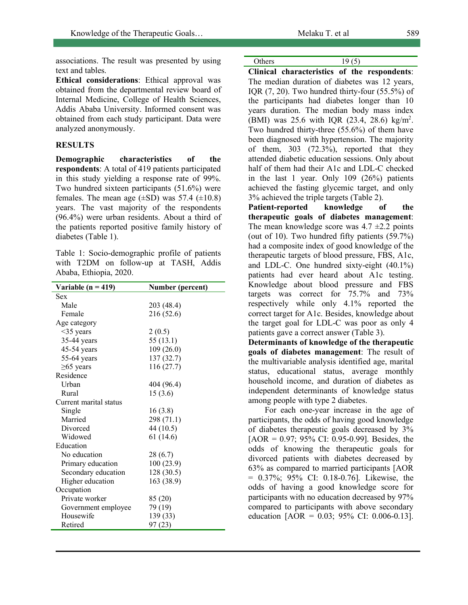associations. The result was presented by using text and tables.

**Ethical considerations**: Ethical approval was obtained from the departmental review board of Internal Medicine, College of Health Sciences, Addis Ababa University. Informed consent was obtained from each study participant. Data were analyzed anonymously.

## **RESULTS**

**Demographic characteristics of the respondents**: A total of 419 patients participated in this study yielding a response rate of 99%. Two hundred sixteen participants (51.6%) were females. The mean age  $(\pm SD)$  was 57.4  $(\pm 10.8)$ years. The vast majority of the respondents (96.4%) were urban residents. About a third of the patients reported positive family history of diabetes (Table 1).

Table 1: Socio-demographic profile of patients with T2DM on follow-up at TASH, Addis Ababa, Ethiopia, 2020.

| Variable ( $n = 419$ ) | <b>Number (percent)</b> |
|------------------------|-------------------------|
| Sex                    |                         |
| Male                   | 203 (48.4)              |
| Female                 | 216 (52.6)              |
| Age category           |                         |
| $<$ 35 years           | 2(0.5)                  |
| 35-44 years            | 55 (13.1)               |
| 45-54 years            | 109 (26.0)              |
| 55-64 years            | 137 (32.7)              |
| $\geq 65$ years        | 116 (27.7)              |
| Residence              |                         |
| Urban                  | 404 (96.4)              |
| Rural                  | 15(3.6)                 |
| Current marital status |                         |
| Single                 | 16(3.8)                 |
| Married                | 298 (71.1)              |
| Divorced               | 44 (10.5)               |
| Widowed                | 61(14.6)                |
| Education              |                         |
| No education           | 28(6.7)                 |
| Primary education      | 100 (23.9)              |
| Secondary education    | 128 (30.5)              |
| Higher education       | 163 (38.9)              |
| Occupation             |                         |
| Private worker         | 85 (20)                 |
| Government employee    | 79 (19)                 |
| Housewife              | 139 (33)                |
| Retired                | 97(23)                  |

**Clinical characteristics of the respondents**: The median duration of diabetes was 12 years, IQR (7, 20). Two hundred thirty-four (55.5%) of the participants had diabetes longer than 10 years duration. The median body mass index (BMI) was 25.6 with IQR  $(23.4, 28.6)$  kg/m<sup>2</sup>. Two hundred thirty-three (55.6%) of them have been diagnosed with hypertension. The majority of them, 303 (72.3%), reported that they attended diabetic education sessions. Only about half of them had their A1c and LDL-C checked in the last 1 year. Only 109 (26%) patients achieved the fasting glycemic target, and only 3% achieved the triple targets (Table 2).

**Patient-reported knowledge of the therapeutic goals of diabetes management**: The mean knowledge score was  $4.7 \pm 2.2$  points (out of 10). Two hundred fifty patients (59.7%) had a composite index of good knowledge of the therapeutic targets of blood pressure, FBS, A1c, and LDL-C. One hundred sixty-eight (40.1%) patients had ever heard about A1c testing. Knowledge about blood pressure and FBS targets was correct for 75.7% and 73% respectively while only 4.1% reported the correct target for A1c. Besides, knowledge about the target goal for LDL-C was poor as only 4 patients gave a correct answer (Table 3).

**Determinants of knowledge of the therapeutic goals of diabetes management**: The result of the multivariable analysis identified age, marital status, educational status, average monthly household income, and duration of diabetes as independent determinants of knowledge status among people with type 2 diabetes.

For each one-year increase in the age of participants, the odds of having good knowledge of diabetes therapeutic goals decreased by 3%  $[AOR = 0.97; 95\% \text{ CI: } 0.95-0.99]$ . Besides, the odds of knowing the therapeutic goals for divorced patients with diabetes decreased by 63% as compared to married participants [AOR = 0.37%; 95% CI: 0.18-0.76]. Likewise, the odds of having a good knowledge score for participants with no education decreased by 97% compared to participants with above secondary education  $[AOR = 0.03; 95\% \text{ CI: } 0.006-0.13]$ .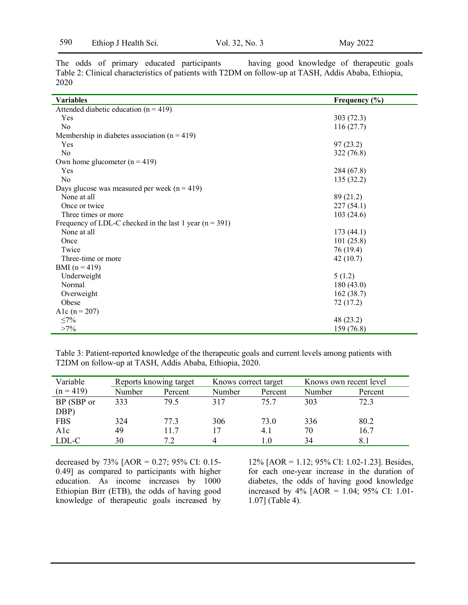|      |  |  | The odds of primary educated participants |                                                                                                      |  | having good knowledge of the rapeutic goals |  |
|------|--|--|-------------------------------------------|------------------------------------------------------------------------------------------------------|--|---------------------------------------------|--|
|      |  |  |                                           | Table 2: Clinical characteristics of patients with T2DM on follow-up at TASH, Addis Ababa, Ethiopia, |  |                                             |  |
| 2020 |  |  |                                           |                                                                                                      |  |                                             |  |

| <b>Variables</b>                                          | Frequency $(\% )$ |  |  |  |  |  |
|-----------------------------------------------------------|-------------------|--|--|--|--|--|
| Attended diabetic education $(n = 419)$                   |                   |  |  |  |  |  |
| Yes                                                       | 303(72.3)         |  |  |  |  |  |
| N <sub>0</sub>                                            | 116(27.7)         |  |  |  |  |  |
| Membership in diabetes association ( $n = 419$ )          |                   |  |  |  |  |  |
| Yes                                                       | 97(23.2)          |  |  |  |  |  |
| N <sub>o</sub>                                            | 322(76.8)         |  |  |  |  |  |
| Own home glucometer $(n = 419)$                           |                   |  |  |  |  |  |
| Yes                                                       | 284 (67.8)        |  |  |  |  |  |
| N <sub>o</sub>                                            | 135(32.2)         |  |  |  |  |  |
| Days glucose was measured per week ( $n = 419$ )          |                   |  |  |  |  |  |
| None at all                                               | 89 (21.2)         |  |  |  |  |  |
| Once or twice                                             | 227(54.1)         |  |  |  |  |  |
| Three times or more                                       | 103(24.6)         |  |  |  |  |  |
| Frequency of LDL-C checked in the last 1 year $(n = 391)$ |                   |  |  |  |  |  |
| None at all                                               | 173(44.1)         |  |  |  |  |  |
| Once                                                      | 101(25.8)         |  |  |  |  |  |
| Twice                                                     | 76 (19.4)         |  |  |  |  |  |
| Three-time or more                                        | 42(10.7)          |  |  |  |  |  |
| BMI $(n = 419)$                                           |                   |  |  |  |  |  |
| Underweight                                               | 5(1.2)            |  |  |  |  |  |
| Normal                                                    | 180(43.0)         |  |  |  |  |  |
| Overweight                                                | 162(38.7)         |  |  |  |  |  |
| Obese                                                     | 72(17.2)          |  |  |  |  |  |
| A1c $(n = 207)$                                           |                   |  |  |  |  |  |
| $\leq 7\%$                                                | 48 (23.2)         |  |  |  |  |  |
| $>7\%$                                                    | 159 (76.8)        |  |  |  |  |  |

Table 3: Patient-reported knowledge of the therapeutic goals and current levels among patients with T2DM on follow-up at TASH, Addis Ababa, Ethiopia, 2020.

| Variable<br>Reports knowing target |        |         | Knows correct target |         | Knows own recent level |         |
|------------------------------------|--------|---------|----------------------|---------|------------------------|---------|
| $(n = 419)$                        | Number | Percent | Number               | Percent | Number                 | Percent |
| BP (SBP or                         | 333    | 79.5    | 317                  | 757     | 303                    | 72.3    |
| DBP)                               |        |         |                      |         |                        |         |
| <b>FBS</b>                         | 324    | 77 3    | 306                  | 73.0    | 336                    | 80.2    |
| Alc                                | 49     | 11.7    | 17                   | 4.1     | 70                     | 16.7    |
| LDL-C                              | 30     | 7.2     |                      | 1.0     | 34                     |         |

decreased by 73% [AOR = 0.27; 95% CI: 0.15- 0.49] as compared to participants with higher education. As income increases by 1000 Ethiopian Birr (ETB), the odds of having good knowledge of therapeutic goals increased by 12% [AOR = 1.12; 95% CI: 1.02-1.23]. Besides, for each one-year increase in the duration of diabetes, the odds of having good knowledge increased by 4% [AOR = 1.04; 95% CI: 1.01- 1.07] (Table 4).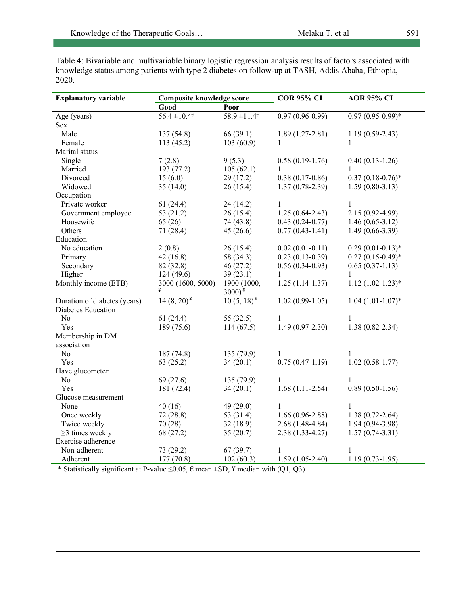Table 4: Bivariable and multivariable binary logistic regression analysis results of factors associated with knowledge status among patients with type 2 diabetes on follow-up at TASH, Addis Ababa, Ethiopia, 2020.

| Good<br>Poor<br>$56.4 \pm 10.4^{\epsilon}$<br>$58.9 \pm 11.4^{\epsilon}$<br>$0.97(0.96 - 0.99)$<br>$0.97(0.95-0.99)*$<br>Age (years)<br>Sex<br>66(39.1)<br>Male<br>137 (54.8)<br>$1.89(1.27-2.81)$<br>$1.19(0.59-2.43)$<br>103(60.9)<br>Female<br>113 (45.2)<br>1<br>1<br>Marital status<br>Single<br>7(2.8)<br>9(5.3)<br>$0.58(0.19-1.76)$<br>$0.40(0.13-1.26)$<br>Married<br>193 (77.2)<br>105(62.1)<br>1<br>1<br>$0.38(0.17-0.86)$<br>$0.37(0.18-0.76)$ *<br>Divorced<br>15(6.0)<br>29(17.2)<br>Widowed<br>35(14.0)<br>26(15.4)<br>$1.37(0.78-2.39)$<br>$1.59(0.80-3.13)$<br>Occupation<br>Private worker<br>61(24.4)<br>24(14.2)<br>$\mathbf{1}$<br>$\mathbf{1}$<br>Government employee<br>$1.25(0.64 - 2.43)$<br>$2.15(0.92 - 4.99)$<br>53 (21.2)<br>26(15.4)<br>Housewife<br>65(26)<br>74 (43.8)<br>$0.43(0.24 - 0.77)$<br>$1.46(0.65-3.12)$<br>Others<br>$1.49(0.66 - 3.39)$<br>71 (28.4)<br>45(26.6)<br>$0.77(0.43 - 1.41)$<br>Education<br>No education<br>$0.02(0.01 - 0.11)$<br>$0.29(0.01-0.13)*$<br>2(0.8)<br>26(15.4)<br>42(16.8)<br>58 (34.3)<br>$0.23(0.13-0.39)$<br>$0.27(0.15-0.49)*$<br>Primary<br>Secondary<br>82 (32.8)<br>46(27.2)<br>$0.56(0.34-0.93)$<br>$0.65(0.37-1.13)$<br>Higher<br>124(49.6)<br>39(23.1)<br>$\mathbf{1}$<br>$\mathbf{1}$<br>Monthly income (ETB)<br>3000 (1600, 5000)<br>1900 (1000,<br>$1.25(1.14-1.37)$<br>$1.12(1.02 - 1.23)*$<br>$3000)^{\frac{1}{2}}$<br>$1.04(1.01-1.07)*$<br>Duration of diabetes (years)<br>$14(8,20)^{*}$<br>$10(5, 18)^{*}$<br>$1.02(0.99-1.05)$<br>Diabetes Education<br>N <sub>o</sub><br>$\mathbf{1}$<br>61(24.4)<br>55 $(32.5)$<br>1<br>$1.49(0.97 - 2.30)$<br>$1.38(0.82 - 2.34)$<br>Yes<br>189 (75.6)<br>114(67.5)<br>Membership in DM<br>association<br>No<br>187 (74.8)<br>135 (79.9)<br>1<br>1<br>34(20.1)<br>$0.75(0.47-1.19)$<br>$1.02(0.58-1.77)$<br>Yes<br>63(25.2)<br>Have glucometer<br>No<br>69 (27.6)<br>135 (79.9)<br>1<br>1<br>$1.68(1.11-2.54)$<br>$0.89(0.50-1.56)$<br>Yes<br>181 (72.4)<br>34(20.1)<br>Glucose measurement<br>40(16)<br>49 $(29.0)$<br>$\mathbf{1}$<br>None<br>1<br>72(28.8)<br>53 (31.4)<br>$1.66(0.96-2.88)$<br>$1.38(0.72 - 2.64)$<br>Once weekly<br>70 (28)<br>$2.68(1.48-4.84)$<br>$1.94(0.94-3.98)$<br>Twice weekly<br>32(18.9)<br>$\geq$ 3 times weekly<br>68 (27.2)<br>35(20.7)<br>$2.38(1.33 - 4.27)$<br>$1.57(0.74-3.31)$<br>Exercise adherence<br>Non-adherent<br>73 (29.2)<br>67(39.7)<br>$\mathbf{1}$<br>1<br>177(70.8)<br>102(60.3)<br>$1.59(1.05-2.40)$<br>$1.19(0.73-1.95)$<br>Adherent<br>* Statistically significant at P-value < 0.05 $\epsilon$ mean +SD $\frac{1}{2}$ median with (O1.03) | <b>Explanatory variable</b> | <b>Composite knowledge score</b> | <b>COR 95% CI</b> | <b>AOR 95% CI</b> |  |
|-----------------------------------------------------------------------------------------------------------------------------------------------------------------------------------------------------------------------------------------------------------------------------------------------------------------------------------------------------------------------------------------------------------------------------------------------------------------------------------------------------------------------------------------------------------------------------------------------------------------------------------------------------------------------------------------------------------------------------------------------------------------------------------------------------------------------------------------------------------------------------------------------------------------------------------------------------------------------------------------------------------------------------------------------------------------------------------------------------------------------------------------------------------------------------------------------------------------------------------------------------------------------------------------------------------------------------------------------------------------------------------------------------------------------------------------------------------------------------------------------------------------------------------------------------------------------------------------------------------------------------------------------------------------------------------------------------------------------------------------------------------------------------------------------------------------------------------------------------------------------------------------------------------------------------------------------------------------------------------------------------------------------------------------------------------------------------------------------------------------------------------------------------------------------------------------------------------------------------------------------------------------------------------------------------------------------------------------------------------------------------------------------------------------------------------------------------------------------------------------------------------------------------------------------------------------------------------------------------------------------------|-----------------------------|----------------------------------|-------------------|-------------------|--|
|                                                                                                                                                                                                                                                                                                                                                                                                                                                                                                                                                                                                                                                                                                                                                                                                                                                                                                                                                                                                                                                                                                                                                                                                                                                                                                                                                                                                                                                                                                                                                                                                                                                                                                                                                                                                                                                                                                                                                                                                                                                                                                                                                                                                                                                                                                                                                                                                                                                                                                                                                                                                                             |                             |                                  |                   |                   |  |
|                                                                                                                                                                                                                                                                                                                                                                                                                                                                                                                                                                                                                                                                                                                                                                                                                                                                                                                                                                                                                                                                                                                                                                                                                                                                                                                                                                                                                                                                                                                                                                                                                                                                                                                                                                                                                                                                                                                                                                                                                                                                                                                                                                                                                                                                                                                                                                                                                                                                                                                                                                                                                             |                             |                                  |                   |                   |  |
|                                                                                                                                                                                                                                                                                                                                                                                                                                                                                                                                                                                                                                                                                                                                                                                                                                                                                                                                                                                                                                                                                                                                                                                                                                                                                                                                                                                                                                                                                                                                                                                                                                                                                                                                                                                                                                                                                                                                                                                                                                                                                                                                                                                                                                                                                                                                                                                                                                                                                                                                                                                                                             |                             |                                  |                   |                   |  |
|                                                                                                                                                                                                                                                                                                                                                                                                                                                                                                                                                                                                                                                                                                                                                                                                                                                                                                                                                                                                                                                                                                                                                                                                                                                                                                                                                                                                                                                                                                                                                                                                                                                                                                                                                                                                                                                                                                                                                                                                                                                                                                                                                                                                                                                                                                                                                                                                                                                                                                                                                                                                                             |                             |                                  |                   |                   |  |
|                                                                                                                                                                                                                                                                                                                                                                                                                                                                                                                                                                                                                                                                                                                                                                                                                                                                                                                                                                                                                                                                                                                                                                                                                                                                                                                                                                                                                                                                                                                                                                                                                                                                                                                                                                                                                                                                                                                                                                                                                                                                                                                                                                                                                                                                                                                                                                                                                                                                                                                                                                                                                             |                             |                                  |                   |                   |  |
|                                                                                                                                                                                                                                                                                                                                                                                                                                                                                                                                                                                                                                                                                                                                                                                                                                                                                                                                                                                                                                                                                                                                                                                                                                                                                                                                                                                                                                                                                                                                                                                                                                                                                                                                                                                                                                                                                                                                                                                                                                                                                                                                                                                                                                                                                                                                                                                                                                                                                                                                                                                                                             |                             |                                  |                   |                   |  |
|                                                                                                                                                                                                                                                                                                                                                                                                                                                                                                                                                                                                                                                                                                                                                                                                                                                                                                                                                                                                                                                                                                                                                                                                                                                                                                                                                                                                                                                                                                                                                                                                                                                                                                                                                                                                                                                                                                                                                                                                                                                                                                                                                                                                                                                                                                                                                                                                                                                                                                                                                                                                                             |                             |                                  |                   |                   |  |
|                                                                                                                                                                                                                                                                                                                                                                                                                                                                                                                                                                                                                                                                                                                                                                                                                                                                                                                                                                                                                                                                                                                                                                                                                                                                                                                                                                                                                                                                                                                                                                                                                                                                                                                                                                                                                                                                                                                                                                                                                                                                                                                                                                                                                                                                                                                                                                                                                                                                                                                                                                                                                             |                             |                                  |                   |                   |  |
|                                                                                                                                                                                                                                                                                                                                                                                                                                                                                                                                                                                                                                                                                                                                                                                                                                                                                                                                                                                                                                                                                                                                                                                                                                                                                                                                                                                                                                                                                                                                                                                                                                                                                                                                                                                                                                                                                                                                                                                                                                                                                                                                                                                                                                                                                                                                                                                                                                                                                                                                                                                                                             |                             |                                  |                   |                   |  |
|                                                                                                                                                                                                                                                                                                                                                                                                                                                                                                                                                                                                                                                                                                                                                                                                                                                                                                                                                                                                                                                                                                                                                                                                                                                                                                                                                                                                                                                                                                                                                                                                                                                                                                                                                                                                                                                                                                                                                                                                                                                                                                                                                                                                                                                                                                                                                                                                                                                                                                                                                                                                                             |                             |                                  |                   |                   |  |
|                                                                                                                                                                                                                                                                                                                                                                                                                                                                                                                                                                                                                                                                                                                                                                                                                                                                                                                                                                                                                                                                                                                                                                                                                                                                                                                                                                                                                                                                                                                                                                                                                                                                                                                                                                                                                                                                                                                                                                                                                                                                                                                                                                                                                                                                                                                                                                                                                                                                                                                                                                                                                             |                             |                                  |                   |                   |  |
|                                                                                                                                                                                                                                                                                                                                                                                                                                                                                                                                                                                                                                                                                                                                                                                                                                                                                                                                                                                                                                                                                                                                                                                                                                                                                                                                                                                                                                                                                                                                                                                                                                                                                                                                                                                                                                                                                                                                                                                                                                                                                                                                                                                                                                                                                                                                                                                                                                                                                                                                                                                                                             |                             |                                  |                   |                   |  |
|                                                                                                                                                                                                                                                                                                                                                                                                                                                                                                                                                                                                                                                                                                                                                                                                                                                                                                                                                                                                                                                                                                                                                                                                                                                                                                                                                                                                                                                                                                                                                                                                                                                                                                                                                                                                                                                                                                                                                                                                                                                                                                                                                                                                                                                                                                                                                                                                                                                                                                                                                                                                                             |                             |                                  |                   |                   |  |
|                                                                                                                                                                                                                                                                                                                                                                                                                                                                                                                                                                                                                                                                                                                                                                                                                                                                                                                                                                                                                                                                                                                                                                                                                                                                                                                                                                                                                                                                                                                                                                                                                                                                                                                                                                                                                                                                                                                                                                                                                                                                                                                                                                                                                                                                                                                                                                                                                                                                                                                                                                                                                             |                             |                                  |                   |                   |  |
|                                                                                                                                                                                                                                                                                                                                                                                                                                                                                                                                                                                                                                                                                                                                                                                                                                                                                                                                                                                                                                                                                                                                                                                                                                                                                                                                                                                                                                                                                                                                                                                                                                                                                                                                                                                                                                                                                                                                                                                                                                                                                                                                                                                                                                                                                                                                                                                                                                                                                                                                                                                                                             |                             |                                  |                   |                   |  |
|                                                                                                                                                                                                                                                                                                                                                                                                                                                                                                                                                                                                                                                                                                                                                                                                                                                                                                                                                                                                                                                                                                                                                                                                                                                                                                                                                                                                                                                                                                                                                                                                                                                                                                                                                                                                                                                                                                                                                                                                                                                                                                                                                                                                                                                                                                                                                                                                                                                                                                                                                                                                                             |                             |                                  |                   |                   |  |
|                                                                                                                                                                                                                                                                                                                                                                                                                                                                                                                                                                                                                                                                                                                                                                                                                                                                                                                                                                                                                                                                                                                                                                                                                                                                                                                                                                                                                                                                                                                                                                                                                                                                                                                                                                                                                                                                                                                                                                                                                                                                                                                                                                                                                                                                                                                                                                                                                                                                                                                                                                                                                             |                             |                                  |                   |                   |  |
|                                                                                                                                                                                                                                                                                                                                                                                                                                                                                                                                                                                                                                                                                                                                                                                                                                                                                                                                                                                                                                                                                                                                                                                                                                                                                                                                                                                                                                                                                                                                                                                                                                                                                                                                                                                                                                                                                                                                                                                                                                                                                                                                                                                                                                                                                                                                                                                                                                                                                                                                                                                                                             |                             |                                  |                   |                   |  |
|                                                                                                                                                                                                                                                                                                                                                                                                                                                                                                                                                                                                                                                                                                                                                                                                                                                                                                                                                                                                                                                                                                                                                                                                                                                                                                                                                                                                                                                                                                                                                                                                                                                                                                                                                                                                                                                                                                                                                                                                                                                                                                                                                                                                                                                                                                                                                                                                                                                                                                                                                                                                                             |                             |                                  |                   |                   |  |
|                                                                                                                                                                                                                                                                                                                                                                                                                                                                                                                                                                                                                                                                                                                                                                                                                                                                                                                                                                                                                                                                                                                                                                                                                                                                                                                                                                                                                                                                                                                                                                                                                                                                                                                                                                                                                                                                                                                                                                                                                                                                                                                                                                                                                                                                                                                                                                                                                                                                                                                                                                                                                             |                             |                                  |                   |                   |  |
|                                                                                                                                                                                                                                                                                                                                                                                                                                                                                                                                                                                                                                                                                                                                                                                                                                                                                                                                                                                                                                                                                                                                                                                                                                                                                                                                                                                                                                                                                                                                                                                                                                                                                                                                                                                                                                                                                                                                                                                                                                                                                                                                                                                                                                                                                                                                                                                                                                                                                                                                                                                                                             |                             |                                  |                   |                   |  |
|                                                                                                                                                                                                                                                                                                                                                                                                                                                                                                                                                                                                                                                                                                                                                                                                                                                                                                                                                                                                                                                                                                                                                                                                                                                                                                                                                                                                                                                                                                                                                                                                                                                                                                                                                                                                                                                                                                                                                                                                                                                                                                                                                                                                                                                                                                                                                                                                                                                                                                                                                                                                                             |                             |                                  |                   |                   |  |
|                                                                                                                                                                                                                                                                                                                                                                                                                                                                                                                                                                                                                                                                                                                                                                                                                                                                                                                                                                                                                                                                                                                                                                                                                                                                                                                                                                                                                                                                                                                                                                                                                                                                                                                                                                                                                                                                                                                                                                                                                                                                                                                                                                                                                                                                                                                                                                                                                                                                                                                                                                                                                             |                             |                                  |                   |                   |  |
|                                                                                                                                                                                                                                                                                                                                                                                                                                                                                                                                                                                                                                                                                                                                                                                                                                                                                                                                                                                                                                                                                                                                                                                                                                                                                                                                                                                                                                                                                                                                                                                                                                                                                                                                                                                                                                                                                                                                                                                                                                                                                                                                                                                                                                                                                                                                                                                                                                                                                                                                                                                                                             |                             |                                  |                   |                   |  |
|                                                                                                                                                                                                                                                                                                                                                                                                                                                                                                                                                                                                                                                                                                                                                                                                                                                                                                                                                                                                                                                                                                                                                                                                                                                                                                                                                                                                                                                                                                                                                                                                                                                                                                                                                                                                                                                                                                                                                                                                                                                                                                                                                                                                                                                                                                                                                                                                                                                                                                                                                                                                                             |                             |                                  |                   |                   |  |
|                                                                                                                                                                                                                                                                                                                                                                                                                                                                                                                                                                                                                                                                                                                                                                                                                                                                                                                                                                                                                                                                                                                                                                                                                                                                                                                                                                                                                                                                                                                                                                                                                                                                                                                                                                                                                                                                                                                                                                                                                                                                                                                                                                                                                                                                                                                                                                                                                                                                                                                                                                                                                             |                             |                                  |                   |                   |  |
|                                                                                                                                                                                                                                                                                                                                                                                                                                                                                                                                                                                                                                                                                                                                                                                                                                                                                                                                                                                                                                                                                                                                                                                                                                                                                                                                                                                                                                                                                                                                                                                                                                                                                                                                                                                                                                                                                                                                                                                                                                                                                                                                                                                                                                                                                                                                                                                                                                                                                                                                                                                                                             |                             |                                  |                   |                   |  |
|                                                                                                                                                                                                                                                                                                                                                                                                                                                                                                                                                                                                                                                                                                                                                                                                                                                                                                                                                                                                                                                                                                                                                                                                                                                                                                                                                                                                                                                                                                                                                                                                                                                                                                                                                                                                                                                                                                                                                                                                                                                                                                                                                                                                                                                                                                                                                                                                                                                                                                                                                                                                                             |                             |                                  |                   |                   |  |
|                                                                                                                                                                                                                                                                                                                                                                                                                                                                                                                                                                                                                                                                                                                                                                                                                                                                                                                                                                                                                                                                                                                                                                                                                                                                                                                                                                                                                                                                                                                                                                                                                                                                                                                                                                                                                                                                                                                                                                                                                                                                                                                                                                                                                                                                                                                                                                                                                                                                                                                                                                                                                             |                             |                                  |                   |                   |  |
|                                                                                                                                                                                                                                                                                                                                                                                                                                                                                                                                                                                                                                                                                                                                                                                                                                                                                                                                                                                                                                                                                                                                                                                                                                                                                                                                                                                                                                                                                                                                                                                                                                                                                                                                                                                                                                                                                                                                                                                                                                                                                                                                                                                                                                                                                                                                                                                                                                                                                                                                                                                                                             |                             |                                  |                   |                   |  |
|                                                                                                                                                                                                                                                                                                                                                                                                                                                                                                                                                                                                                                                                                                                                                                                                                                                                                                                                                                                                                                                                                                                                                                                                                                                                                                                                                                                                                                                                                                                                                                                                                                                                                                                                                                                                                                                                                                                                                                                                                                                                                                                                                                                                                                                                                                                                                                                                                                                                                                                                                                                                                             |                             |                                  |                   |                   |  |
|                                                                                                                                                                                                                                                                                                                                                                                                                                                                                                                                                                                                                                                                                                                                                                                                                                                                                                                                                                                                                                                                                                                                                                                                                                                                                                                                                                                                                                                                                                                                                                                                                                                                                                                                                                                                                                                                                                                                                                                                                                                                                                                                                                                                                                                                                                                                                                                                                                                                                                                                                                                                                             |                             |                                  |                   |                   |  |
|                                                                                                                                                                                                                                                                                                                                                                                                                                                                                                                                                                                                                                                                                                                                                                                                                                                                                                                                                                                                                                                                                                                                                                                                                                                                                                                                                                                                                                                                                                                                                                                                                                                                                                                                                                                                                                                                                                                                                                                                                                                                                                                                                                                                                                                                                                                                                                                                                                                                                                                                                                                                                             |                             |                                  |                   |                   |  |
|                                                                                                                                                                                                                                                                                                                                                                                                                                                                                                                                                                                                                                                                                                                                                                                                                                                                                                                                                                                                                                                                                                                                                                                                                                                                                                                                                                                                                                                                                                                                                                                                                                                                                                                                                                                                                                                                                                                                                                                                                                                                                                                                                                                                                                                                                                                                                                                                                                                                                                                                                                                                                             |                             |                                  |                   |                   |  |
|                                                                                                                                                                                                                                                                                                                                                                                                                                                                                                                                                                                                                                                                                                                                                                                                                                                                                                                                                                                                                                                                                                                                                                                                                                                                                                                                                                                                                                                                                                                                                                                                                                                                                                                                                                                                                                                                                                                                                                                                                                                                                                                                                                                                                                                                                                                                                                                                                                                                                                                                                                                                                             |                             |                                  |                   |                   |  |
|                                                                                                                                                                                                                                                                                                                                                                                                                                                                                                                                                                                                                                                                                                                                                                                                                                                                                                                                                                                                                                                                                                                                                                                                                                                                                                                                                                                                                                                                                                                                                                                                                                                                                                                                                                                                                                                                                                                                                                                                                                                                                                                                                                                                                                                                                                                                                                                                                                                                                                                                                                                                                             |                             |                                  |                   |                   |  |
|                                                                                                                                                                                                                                                                                                                                                                                                                                                                                                                                                                                                                                                                                                                                                                                                                                                                                                                                                                                                                                                                                                                                                                                                                                                                                                                                                                                                                                                                                                                                                                                                                                                                                                                                                                                                                                                                                                                                                                                                                                                                                                                                                                                                                                                                                                                                                                                                                                                                                                                                                                                                                             |                             |                                  |                   |                   |  |
|                                                                                                                                                                                                                                                                                                                                                                                                                                                                                                                                                                                                                                                                                                                                                                                                                                                                                                                                                                                                                                                                                                                                                                                                                                                                                                                                                                                                                                                                                                                                                                                                                                                                                                                                                                                                                                                                                                                                                                                                                                                                                                                                                                                                                                                                                                                                                                                                                                                                                                                                                                                                                             |                             |                                  |                   |                   |  |
|                                                                                                                                                                                                                                                                                                                                                                                                                                                                                                                                                                                                                                                                                                                                                                                                                                                                                                                                                                                                                                                                                                                                                                                                                                                                                                                                                                                                                                                                                                                                                                                                                                                                                                                                                                                                                                                                                                                                                                                                                                                                                                                                                                                                                                                                                                                                                                                                                                                                                                                                                                                                                             |                             |                                  |                   |                   |  |
|                                                                                                                                                                                                                                                                                                                                                                                                                                                                                                                                                                                                                                                                                                                                                                                                                                                                                                                                                                                                                                                                                                                                                                                                                                                                                                                                                                                                                                                                                                                                                                                                                                                                                                                                                                                                                                                                                                                                                                                                                                                                                                                                                                                                                                                                                                                                                                                                                                                                                                                                                                                                                             |                             |                                  |                   |                   |  |

\* Statistically significant at P-value  $\leq 0.05$ ,  $\epsilon$  mean  $\pm$ SD,  $\frac{1}{2}$  median with (Q1, Q3)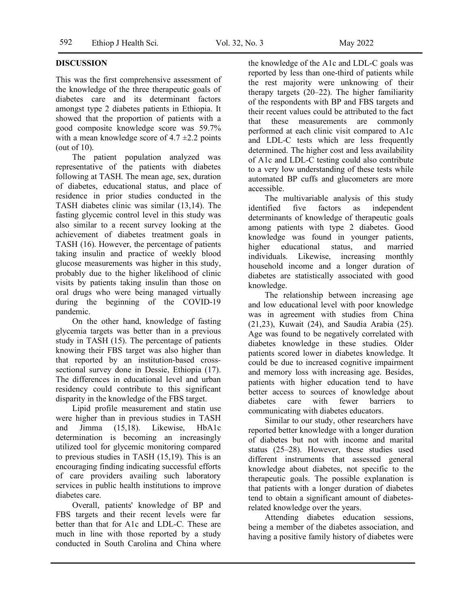## **DISCUSSION**

This was the first comprehensive assessment of the knowledge of the three therapeutic goals of diabetes care and its determinant factors amongst type 2 diabetes patients in Ethiopia. It showed that the proportion of patients with a good composite knowledge score was 59.7% with a mean knowledge score of  $4.7 \pm 2.2$  points (out of 10).

The patient population analyzed was representative of the patients with diabetes following at TASH. The mean age, sex, duration of diabetes, educational status, and place of residence in prior studies conducted in the TASH diabetes clinic was similar (13,14). The fasting glycemic control level in this study was also similar to a recent survey looking at the achievement of diabetes treatment goals in TASH (16). However, the percentage of patients taking insulin and practice of weekly blood glucose measurements was higher in this study, probably due to the higher likelihood of clinic visits by patients taking insulin than those on oral drugs who were being managed virtually during the beginning of the COVID-19 pandemic.

On the other hand, knowledge of fasting glycemia targets was better than in a previous study in TASH (15). The percentage of patients knowing their FBS target was also higher than that reported by an institution-based crosssectional survey done in Dessie, Ethiopia (17). The differences in educational level and urban residency could contribute to this significant disparity in the knowledge of the FBS target.

Lipid profile measurement and statin use were higher than in previous studies in TASH and Jimma (15,18). Likewise, HbA1c determination is becoming an increasingly utilized tool for glycemic monitoring compared to previous studies in TASH (15,19). This is an encouraging finding indicating successful efforts of care providers availing such laboratory services in public health institutions to improve diabetes care.

Overall, patients' knowledge of BP and FBS targets and their recent levels were far better than that for A1c and LDL-C. These are much in line with those reported by a study conducted in South Carolina and China where the knowledge of the A1c and LDL-C goals was reported by less than one-third of patients while the rest majority were unknowing of their therapy targets (20–22). The higher familiarity of the respondents with BP and FBS targets and their recent values could be attributed to the fact that these measurements are commonly performed at each clinic visit compared to A1c and LDL-C tests which are less frequently determined. The higher cost and less availability of A1c and LDL-C testing could also contribute to a very low understanding of these tests while automated BP cuffs and glucometers are more accessible.

The multivariable analysis of this study identified five factors as independent determinants of knowledge of therapeutic goals among patients with type 2 diabetes. Good knowledge was found in younger patients, higher educational status, and married individuals. Likewise, increasing monthly household income and a longer duration of diabetes are statistically associated with good knowledge.

The relationship between increasing age and low educational level with poor knowledge was in agreement with studies from China (21,23), Kuwait (24), and Saudia Arabia (25). Age was found to be negatively correlated with diabetes knowledge in these studies. Older patients scored lower in diabetes knowledge. It could be due to increased cognitive impairment and memory loss with increasing age. Besides, patients with higher education tend to have better access to sources of knowledge about diabetes care with fewer barriers to communicating with diabetes educators.

Similar to our study, other researchers have reported better knowledge with a longer duration of diabetes but not with income and marital status (25–28). However, these studies used different instruments that assessed general knowledge about diabetes, not specific to the therapeutic goals. The possible explanation is that patients with a longer duration of diabetes tend to obtain a significant amount of diabetesrelated knowledge over the years.

Attending diabetes education sessions, being a member of the diabetes association, and having a positive family history of diabetes were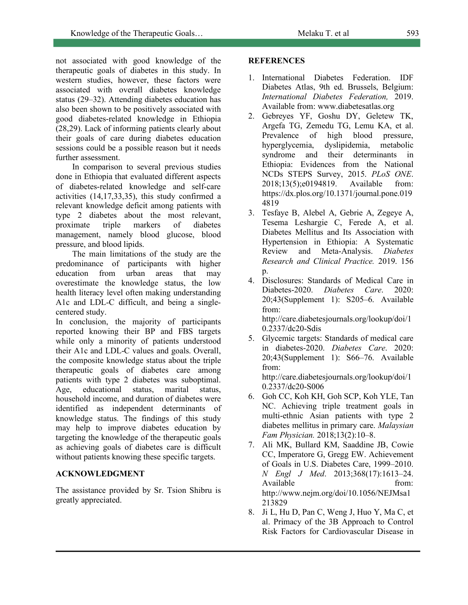not associated with good knowledge of the therapeutic goals of diabetes in this study. In western studies, however, these factors were associated with overall diabetes knowledge status (29–32). Attending diabetes education has also been shown to be positively associated with good diabetes-related knowledge in Ethiopia (28,29). Lack of informing patients clearly about their goals of care during diabetes education sessions could be a possible reason but it needs further assessment.

In comparison to several previous studies done in Ethiopia that evaluated different aspects of diabetes-related knowledge and self-care activities (14,17,33,35), this study confirmed a relevant knowledge deficit among patients with type 2 diabetes about the most relevant, proximate triple markers of diabetes management, namely blood glucose, blood pressure, and blood lipids.

The main limitations of the study are the predominance of participants with higher education from urban areas that may overestimate the knowledge status, the low health literacy level often making understanding A1c and LDL-C difficult, and being a singlecentered study.

In conclusion, the majority of participants reported knowing their BP and FBS targets while only a minority of patients understood their A1c and LDL-C values and goals. Overall, the composite knowledge status about the triple therapeutic goals of diabetes care among patients with type 2 diabetes was suboptimal. Age, educational status, marital status, household income, and duration of diabetes were identified as independent determinants of knowledge status. The findings of this study may help to improve diabetes education by targeting the knowledge of the therapeutic goals as achieving goals of diabetes care is difficult without patients knowing these specific targets.

## **ACKNOWLEDGMENT**

The assistance provided by Sr. Tsion Shibru is greatly appreciated.

## **REFERENCES**

- 1. International Diabetes Federation. IDF Diabetes Atlas, 9th ed. Brussels, Belgium: *International Diabetes Federation,* 2019. Available from: www.diabetesatlas.org
- 2. Gebreyes YF, Goshu DY, Geletew TK, Argefa TG, Zemedu TG, Lemu KA, et al. Prevalence of high blood pressure, hyperglycemia, dyslipidemia, metabolic syndrome and their determinants in Ethiopia: Evidences from the National NCDs STEPS Survey, 2015. *PLoS ONE*. 2018;13(5);e0194819. Available from: https://dx.plos.org/10.1371/journal.pone.019 4819
- 3. Tesfaye B, Alebel A, Gebrie A, Zegeye A, Tesema Leshargie C, Ferede A, et al. Diabetes Mellitus and Its Association with Hypertension in Ethiopia: A Systematic Review and Meta-Analysis. *Diabetes Research and Clinical Practice.* 2019. 156 p.
- 4. Disclosures: Standards of Medical Care in Diabetes-2020. *Diabetes Care*. 2020: 20;43(Supplement 1): S205–6. Available from: http://care.diabetesjournals.org/lookup/doi/1

0.2337/dc20-Sdis

- 5. Glycemic targets: Standards of medical care in diabetes-2020. *Diabetes Care*. 2020: 20;43(Supplement 1): S66–76. Available from: http://care.diabetesjournals.org/lookup/doi/1 0.2337/dc20-S006
- 6. Goh CC, Koh KH, Goh SCP, Koh YLE, Tan NC. Achieving triple treatment goals in multi-ethnic Asian patients with type 2 diabetes mellitus in primary care. *Malaysian Fam Physician.* 2018;13(2):10–8.
- 7. Ali MK, Bullard KM, Saaddine JB, Cowie CC, Imperatore G, Gregg EW. Achievement of Goals in U.S. Diabetes Care, 1999–2010. *N Engl J Med*. 2013;368(17):1613–24. Available from: http://www.nejm.org/doi/10.1056/NEJMsa1 213829
- 8. Ji L, Hu D, Pan C, Weng J, Huo Y, Ma C, et al. Primacy of the 3B Approach to Control Risk Factors for Cardiovascular Disease in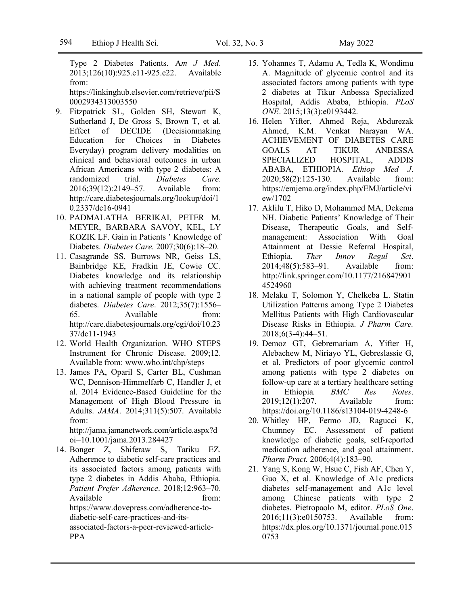Type 2 Diabetes Patients. A*m J Med*. 2013;126(10):925.e11-925.e22. Available from:

https://linkinghub.elsevier.com/retrieve/pii/S 0002934313003550

- 9. Fitzpatrick SL, Golden SH, Stewart K, Sutherland J, De Gross S, Brown T, et al. Effect of DECIDE (Decisionmaking Education for Choices in Diabetes Everyday) program delivery modalities on clinical and behavioral outcomes in urban African Americans with type 2 diabetes: A randomized trial. *Diabetes Care*. 2016;39(12):2149–57. Available from: http://care.diabetesjournals.org/lookup/doi/1 0.2337/dc16-0941
- 10. PADMALATHA BERIKAI, PETER M. MEYER, BARBARA SAVOY, KEL, LY KOZIK LF. Gain in Patients ' Knowledge of Diabetes. *Diabetes Care.* 2007;30(6):18–20.
- 11. Casagrande SS, Burrows NR, Geiss LS, Bainbridge KE, Fradkin JE, Cowie CC. Diabetes knowledge and its relationship with achieving treatment recommendations in a national sample of people with type 2 diabetes. *Diabetes Care*. 2012;35(7):1556– 65. Available from: http://care.diabetesjournals.org/cgi/doi/10.23 37/dc11-1943
- 12. World Health Organization. WHO STEPS Instrument for Chronic Disease. 2009;12. Available from: www.who.int/chp/steps
- 13. James PA, Oparil S, Carter BL, Cushman WC, Dennison-Himmelfarb C, Handler J, et al. 2014 Evidence-Based Guideline for the Management of High Blood Pressure in Adults. *JAMA*. 2014;311(5):507. Available from:

http://jama.jamanetwork.com/article.aspx?d oi=10.1001/jama.2013.284427

14. Bonger Z, Shiferaw S, Tariku EZ. Adherence to diabetic self-care practices and its associated factors among patients with type 2 diabetes in Addis Ababa, Ethiopia. *Patient Prefer Adherence*. 2018;12:963–70. Available from: https://www.dovepress.com/adherence-todiabetic-self-care-practices-and-itsassociated-factors-a-peer-reviewed-article-PPA

- 15. Yohannes T, Adamu A, Tedla K, Wondimu A. Magnitude of glycemic control and its associated factors among patients with type 2 diabetes at Tikur Anbessa Specialized Hospital, Addis Ababa, Ethiopia. *PLoS ONE*. 2015;13(3):e0193442.
- 16. Helen Yifter, Ahmed Reja, Abdurezak Ahmed, K.M. Venkat Narayan WA. ACHIEVEMENT OF DIABETES CARE GOALS AT TIKUR ANBESSA SPECIALIZED HOSPITAL, ADDIS ABABA, ETHIOPIA. *Ethiop Med J*. 2020;58(2):125-130. Available from: https://emjema.org/index.php/EMJ/article/vi ew/1702
- 17. Aklilu T, Hiko D, Mohammed MA, Dekema NH. Diabetic Patients' Knowledge of Their Disease, Therapeutic Goals, and Selfmanagement: Association With Goal Attainment at Dessie Referral Hospital, Ethiopia. *Ther Innov Regul Sci*. 2014;48(5):583–91. Available from: http://link.springer.com/10.1177/216847901 4524960
- 18. Melaku T, Solomon Y, Chelkeba L. Statin Utilization Patterns among Type 2 Diabetes Mellitus Patients with High Cardiovascular Disease Risks in Ethiopia. *J Pharm Care.* 2018;6(3-4):44–51.
- 19. Demoz GT, Gebremariam A, Yifter H, Alebachew M, Niriayo YL, Gebreslassie G, et al. Predictors of poor glycemic control among patients with type 2 diabetes on follow-up care at a tertiary healthcare setting in Ethiopia. *BMC Res Notes*. 2019;12(1):207. Available from: https://doi.org/10.1186/s13104-019-4248-6
- 20. Whitley HP, Fermo JD, Ragucci K, Chumney EC. Assessment of patient knowledge of diabetic goals, self-reported medication adherence, and goal attainment. *Pharm Pract*. 2006;4(4):183–90.
- 21. Yang S, Kong W, Hsue C, Fish AF, Chen Y, Guo X, et al. Knowledge of A1c predicts diabetes self-management and A1c level among Chinese patients with type 2 diabetes. Pietropaolo M, editor. *PLoS One*. 2016;11(3):e0150753. Available from: https://dx.plos.org/10.1371/journal.pone.015 0753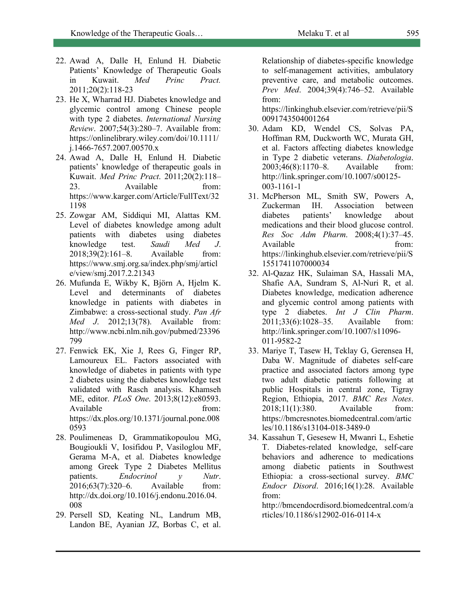- 22. Awad A, Dalle H, Enlund H. Diabetic Patients' Knowledge of Therapeutic Goals in Kuwait. *Med Princ Pract.* 2011;20(2):118-23
- 23. He X, Wharrad HJ. Diabetes knowledge and glycemic control among Chinese people with type 2 diabetes. *International Nursing Review*. 2007;54(3):280–7. Available from: https://onlinelibrary.wiley.com/doi/10.1111/ j.1466-7657.2007.00570.x
- 24. Awad A, Dalle H, Enlund H. Diabetic patients' knowledge of therapeutic goals in Kuwait. *Med Princ Pract*. 2011;20(2):118– 23. Available from: https://www.karger.com/Article/FullText/32 1198
- 25. Zowgar AM, Siddiqui MI, Alattas KM. Level of diabetes knowledge among adult patients with diabetes using diabetes knowledge test. *Saudi Med J*. 2018;39(2):161–8. Available from: https://www.smj.org.sa/index.php/smj/articl e/view/smj.2017.2.21343
- 26. Mufunda E, Wikby K, Björn A, Hjelm K. Level and determinants of diabetes knowledge in patients with diabetes in Zimbabwe: a cross-sectional study. *Pan Afr Med J*. 2012;13(78). Available from: http://www.ncbi.nlm.nih.gov/pubmed/23396 799
- 27. Fenwick EK, Xie J, Rees G, Finger RP, Lamoureux EL. Factors associated with knowledge of diabetes in patients with type 2 diabetes using the diabetes knowledge test validated with Rasch analysis. Khamseh ME, editor. *PLoS One*. 2013;8(12):e80593. Available from: https://dx.plos.org/10.1371/journal.pone.008 0593
- 28. Poulimeneas D, Grammatikopoulou MG, Bougioukli V, Iosifidou P, Vasiloglou MF, Gerama M-A, et al. Diabetes knowledge among Greek Type 2 Diabetes Mellitus patients. *Endocrinol y Nutr*. 2016;63(7):320–6. Available from: http://dx.doi.org/10.1016/j.endonu.2016.04. 008
- 29. Persell SD, Keating NL, Landrum MB, Landon BE, Ayanian JZ, Borbas C, et al.

Relationship of diabetes-specific knowledge to self-management activities, ambulatory preventive care, and metabolic outcomes. *Prev Med*. 2004;39(4):746–52. Available from:

https://linkinghub.elsevier.com/retrieve/pii/S 0091743504001264

- 30. Adam KD, Wendel CS, Solvas PA, Hoffman RM, Duckworth WC, Murata GH, et al. Factors affecting diabetes knowledge in Type 2 diabetic veterans. *Diabetologia*. 2003;46(8):1170–8. Available from: http://link.springer.com/10.1007/s00125- 003-1161-1
- 31. McPherson ML, Smith SW, Powers A, Zuckerman IH. Association between diabetes patients' knowledge about medications and their blood glucose control. *Res Soc Adm Pharm*. 2008;4(1):37–45. Available from: https://linkinghub.elsevier.com/retrieve/pii/S 1551741107000034
- 32. Al-Qazaz HK, Sulaiman SA, Hassali MA, Shafie AA, Sundram S, Al-Nuri R, et al. Diabetes knowledge, medication adherence and glycemic control among patients with type 2 diabetes. *Int J Clin Pharm*. 2011;33(6):1028–35. Available from: http://link.springer.com/10.1007/s11096- 011-9582-2
- 33. Mariye T, Tasew H, Teklay G, Gerensea H, Daba W. Magnitude of diabetes self-care practice and associated factors among type two adult diabetic patients following at public Hospitals in central zone, Tigray Region, Ethiopia, 2017. *BMC Res Notes*. 2018;11(1):380. Available from: https://bmcresnotes.biomedcentral.com/artic les/10.1186/s13104-018-3489-0
- 34. Kassahun T, Gesesew H, Mwanri L, Eshetie T. Diabetes-related knowledge, self-care behaviors and adherence to medications among diabetic patients in Southwest Ethiopia: a cross-sectional survey. *BMC Endocr Disord*. 2016;16(1):28. Available from:

http://bmcendocrdisord.biomedcentral.com/a rticles/10.1186/s12902-016-0114-x